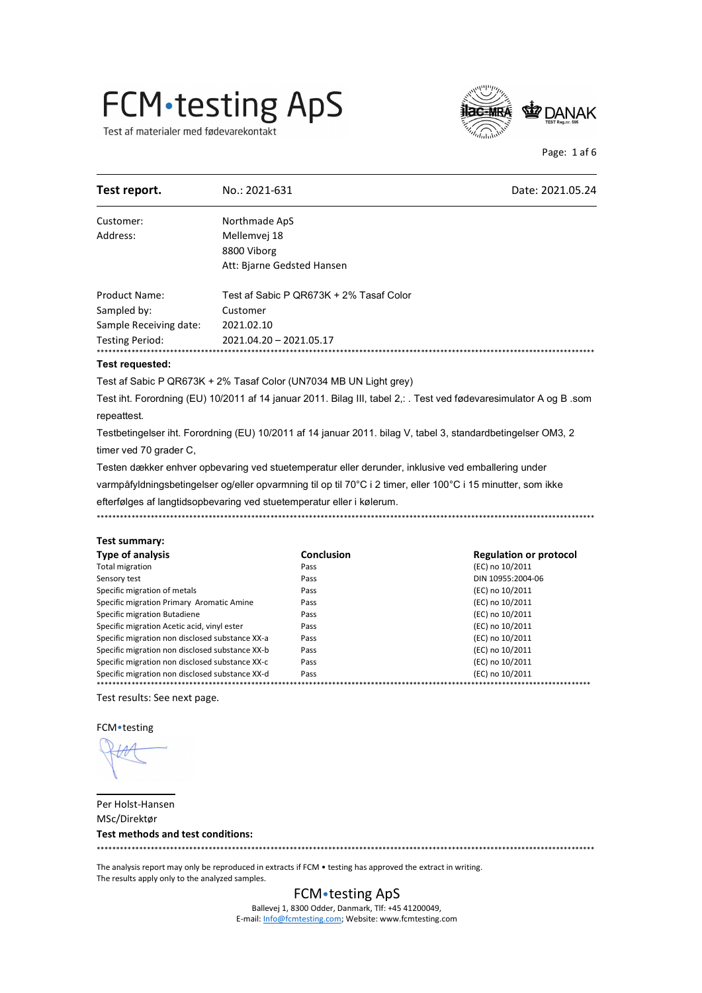Test af materialer med fødevarekontakt

 $\overline{a}$ 



Page: 1 af 6

| Test report.                                                          | No.: 2021-631           |                                                                   | Date: 2021.05.24                                                                                                   |
|-----------------------------------------------------------------------|-------------------------|-------------------------------------------------------------------|--------------------------------------------------------------------------------------------------------------------|
| Customer:                                                             | Northmade ApS           |                                                                   |                                                                                                                    |
| Address:                                                              | Mellemvej 18            |                                                                   |                                                                                                                    |
|                                                                       | 8800 Viborg             |                                                                   |                                                                                                                    |
|                                                                       |                         | Att: Bjarne Gedsted Hansen                                        |                                                                                                                    |
| <b>Product Name:</b>                                                  |                         | Test af Sabic P QR673K + 2% Tasaf Color                           |                                                                                                                    |
| Sampled by:                                                           | Customer                |                                                                   |                                                                                                                    |
| Sample Receiving date:                                                | 2021.02.10              |                                                                   |                                                                                                                    |
| Testing Period:                                                       | 2021.04.20 - 2021.05.17 |                                                                   |                                                                                                                    |
| Test requested:                                                       |                         |                                                                   |                                                                                                                    |
|                                                                       |                         | Test af Sabic P QR673K + 2% Tasaf Color (UN7034 MB UN Light grey) |                                                                                                                    |
|                                                                       |                         |                                                                   | Test iht. Forordning (EU) 10/2011 af 14 januar 2011. Bilag III, tabel 2,: . Test ved fødevaresimulator A og B .som |
| repeattest.                                                           |                         |                                                                   |                                                                                                                    |
|                                                                       |                         |                                                                   | Testbetingelser iht. Forordning (EU) 10/2011 af 14 januar 2011. bilag V, tabel 3, standardbetingelser OM3, 2       |
| timer ved 70 grader C,                                                |                         |                                                                   |                                                                                                                    |
|                                                                       |                         |                                                                   | Testen dækker enhver opbevaring ved stuetemperatur eller derunder, inklusive ved emballering under                 |
|                                                                       |                         |                                                                   | varmpåfyldningsbetingelser og/eller opvarmning til op til 70°C i 2 timer, eller 100°C i 15 minutter, som ikke      |
| efterfølges af langtidsopbevaring ved stuetemperatur eller i kølerum. |                         |                                                                   |                                                                                                                    |
|                                                                       |                         |                                                                   |                                                                                                                    |
| Test summary:                                                         |                         |                                                                   |                                                                                                                    |
| <b>Type of analysis</b>                                               |                         | <b>Conclusion</b>                                                 | <b>Regulation or protocol</b>                                                                                      |
| <b>Total migration</b>                                                |                         | Pass                                                              | (EC) no 10/2011                                                                                                    |
| Sensory test                                                          |                         | Pass                                                              | DIN 10955:2004-06                                                                                                  |
| Specific migration of metals                                          |                         | Pass                                                              | (EC) no 10/2011                                                                                                    |
| Specific migration Primary Aromatic Amine                             |                         | Pass                                                              | (EC) no 10/2011                                                                                                    |
| Specific migration Butadiene                                          |                         | Pass                                                              | (EC) no 10/2011                                                                                                    |
| Specific migration Acetic acid, vinyl ester                           |                         | Pass                                                              | (EC) no 10/2011                                                                                                    |
| Specific migration non disclosed substance XX-a                       |                         | Pass                                                              | (EC) no 10/2011                                                                                                    |
| Specific migration non disclosed substance XX-b                       |                         | Pass                                                              | (EC) no 10/2011                                                                                                    |
| Specific migration non disclosed substance XX-c                       |                         | Pass                                                              | (EC) no 10/2011                                                                                                    |
| Specific migration non disclosed substance XX-d                       |                         | Pass                                                              | (EC) no 10/2011<br>*****************                                                                               |

Test results: See next page.

FCM•testing

 $\overline{a}$ 

\*\*\*\*\*\*\*\*\*\*\*\*\*\*\*\*\*\*\*\*\*\*\*\*\*\*\*\*\*\*\*\*\*\*\*\*\*\*\*\*\*\*\*\*\*\*\*\*\*\*\*\*\*\*\*\*\*\*\*\*\*\*\*\*\*\*\*\*\*\*\*\*\*\*\*\*\*\*\*\*\*\*\*\*\*\*\*\*\*\*\*\*\*\*\*\*\*\*\*\*\*\*\*\*\*\*\*\*\*\*\*\*\*\*\*\*\*\*\*\*\*\*\*\*\*\*\*\*\* Per Holst-Hansen MSc/Direktør Test methods and test conditions:

The analysis report may only be reproduced in extracts if FCM • testing has approved the extract in writing. The results apply only to the analyzed samples.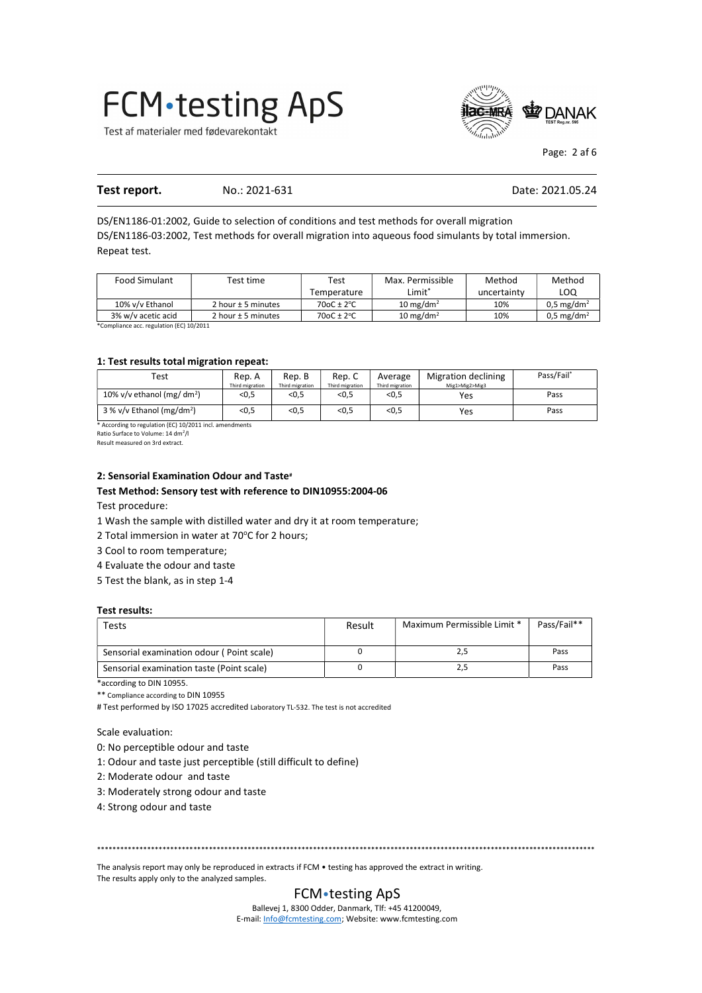Test af materialer med fødevarekontakt



Page: 2 af 6

#### **Test report.** No.: 2021-631 **Date: 2021.05.24** Date: 2021.05.24

DS/EN1186-01:2002, Guide to selection of conditions and test methods for overall migration DS/EN1186-03:2002, Test methods for overall migration into aqueous food simulants by total immersion. Repeat test.

| <b>Food Simulant</b>                     | Test time              | Test                  | Max. Permissible      | Method      | Method                   |
|------------------------------------------|------------------------|-----------------------|-----------------------|-------------|--------------------------|
|                                          |                        | Temperature           | Limit*                | uncertainty | LOQ                      |
| 10% v/v Ethanol                          | 2 hour $\pm$ 5 minutes | $700C \pm 2^{\circ}C$ | 10 mg/dm <sup>2</sup> | 10%         | $0.5$ mg/dm <sup>2</sup> |
| 3% w/v acetic acid                       | 2 hour $±$ 5 minutes   | $70$ oC $\pm$ 2°C     | 10 mg/dm <sup>2</sup> | 10%         | $0.5$ mg/dm <sup>2</sup> |
| *Compliance acc. regulation (EC) 10/2011 |                        |                       |                       |             |                          |

1: Test results total migration repeat:

| Test                                   | Rep. A<br>Third migration | Rep. B<br>Third migration | Rep. C<br>Third migration | Average<br>Third migration | Migration declining<br>Mig1>Mig2>Mig3 | Pass/Fail* |
|----------------------------------------|---------------------------|---------------------------|---------------------------|----------------------------|---------------------------------------|------------|
| 10% v/v ethanol (mg/ dm <sup>2</sup> ) | $<$ 0,5                   | $<$ 0,5                   | <0,5                      | $0,5$                      | Yes                                   | Pass       |
| $3% v/v$ Ethanol (mg/dm <sup>2</sup> ) | $<$ 0,5                   | $<$ 0,5                   | $<$ 0,5                   | $0,5$                      | Yes                                   | Pass       |

\* According to regulation (EC) 10/2011 incl. amendments

Ratio Surface to Volume: 14 dm<sup>2</sup>/l Result measured on 3rd extract.

 $\overline{a}$ 

#### 2: Sensorial Examination Odour and Taste<sup>#</sup>

#### Test Method: Sensory test with reference to DIN10955:2004-06

Test procedure:

- 1 Wash the sample with distilled water and dry it at room temperature;
- 2 Total immersion in water at 70°C for 2 hours;
- 3 Cool to room temperature;
- 4 Evaluate the odour and taste
- 5 Test the blank, as in step 1-4

#### Test results:

| Tests                                     | Result | Maximum Permissible Limit * | Pass/Fail** |
|-------------------------------------------|--------|-----------------------------|-------------|
| Sensorial examination odour (Point scale) |        |                             | Pass        |
| Sensorial examination taste (Point scale) |        |                             | Pass        |

\*according to DIN 10955.

\*\* Compliance according to DIN 10955

# Test performed by ISO 17025 accredited Laboratory TL-532. The test is not accredited

Scale evaluation:

- 0: No perceptible odour and taste
- 1: Odour and taste just perceptible (still difficult to define)
- 2: Moderate odour and taste
- 3: Moderately strong odour and taste
- 4: Strong odour and taste

\*\*\*\*\*\*\*\*\*\*\*\*\*\*\*\*\*\*\*\*\*\*\*\*\*\*\*\*\*\*\*\*\*\*\*\*\*\*\*\*\*\*\*\*\*\*\*\*\*\*\*\*\*\*\*\*\*\*\*\*\*\*\*\*\*\*\*\*\*\*\*\*\*\*\*\*\*\*\*\*\*\*\*\*\*\*\*\*\*\*\*\*\*\*\*\*\*\*\*\*\*\*\*\*\*\*\*\*\*\*\*\*\*\*\*\*\*\*\*\*\*\*\*\*\*\*\*\*\*

The analysis report may only be reproduced in extracts if FCM • testing has approved the extract in writing. The results apply only to the analyzed samples.

#### FCM•testing ApS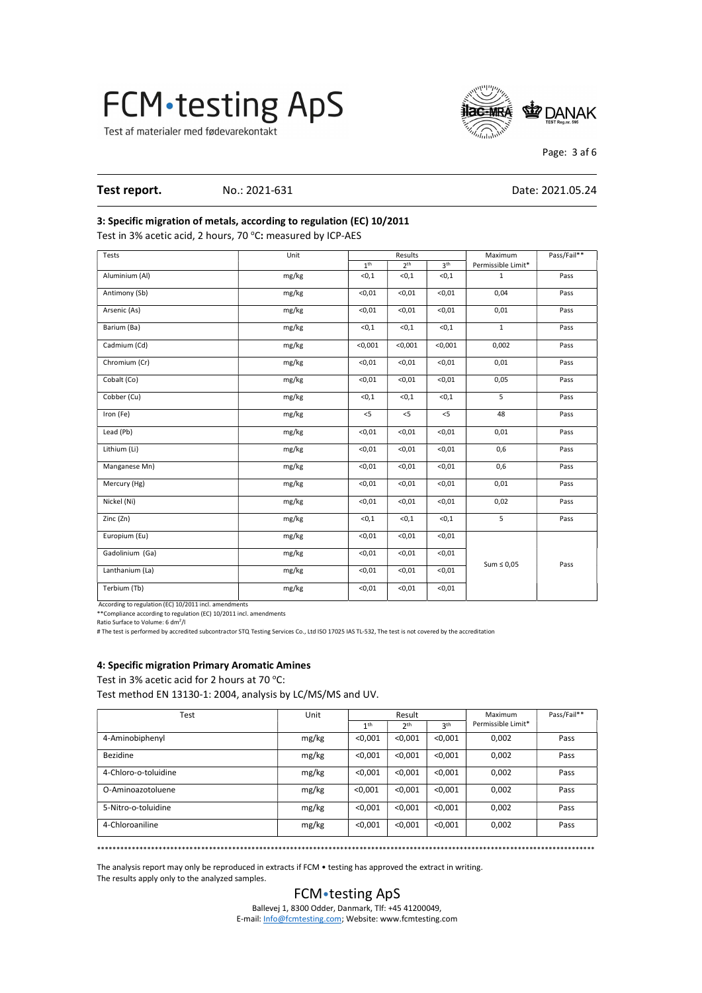Test af materialer med fødevarekontakt

 $\overline{a}$ 



Page: 3 af 6

#### **Test report.** No.: 2021-631 **Date: 2021.05.24** Date: 2021.05.24

#### 3: Specific migration of metals, according to regulation (EC) 10/2011

Test in 3% acetic acid, 2 hours, 70 °C: measured by ICP-AES

| Tests           | Unit  |                 | Results         |                 | Maximum            | Pass/Fail** |
|-----------------|-------|-----------------|-----------------|-----------------|--------------------|-------------|
|                 |       | 1 <sup>th</sup> | 2 <sup>th</sup> | 3 <sup>th</sup> | Permissible Limit* |             |
| Aluminium (Al)  | mg/kg | < 0, 1          | < 0.1           | < 0, 1          | $\mathbf{1}$       | Pass        |
| Antimony (Sb)   | mg/kg | < 0.01          | < 0.01          | < 0.01          | 0,04               | Pass        |
| Arsenic (As)    | mg/kg | < 0, 01         | $0,01$          | < 0, 01         | 0,01               | Pass        |
| Barium (Ba)     | mg/kg | < 0, 1          | < 0.1           | < 0, 1          | $\mathbf{1}$       | Pass        |
| Cadmium (Cd)    | mg/kg | < 0,001         | < 0,001         | < 0,001         | 0,002              | Pass        |
| Chromium (Cr)   | mg/kg | < 0, 01         | < 0, 01         | < 0, 01         | 0,01               | Pass        |
| Cobalt (Co)     | mg/kg | < 0.01          | < 0.01          | $0,01$          | 0,05               | Pass        |
| Cobber (Cu)     | mg/kg | < 0, 1          | < 0, 1          | < 0, 1          | 5                  | Pass        |
| Iron (Fe)       | mg/kg | $<$ 5           | $<$ 5           | $<$ 5           | 48                 | Pass        |
| Lead (Pb)       | mg/kg | < 0.01          | < 0, 01         | < 0, 01         | 0,01               | Pass        |
| Lithium (Li)    | mg/kg | < 0.01          | < 0.01          | < 0, 01         | 0,6                | Pass        |
| Manganese Mn)   | mg/kg | < 0, 01         | $0,01$          | $0,01$          | 0,6                | Pass        |
| Mercury (Hg)    | mg/kg | < 0, 01         | < 0, 01         | < 0, 01         | 0,01               | Pass        |
| Nickel (Ni)     | mg/kg | < 0, 01         | $0,01$          | $0,01$          | 0,02               | Pass        |
| Zinc (Zn)       | mg/kg | < 0, 1          | < 0, 1          | < 0, 1          | 5                  | Pass        |
| Europium (Eu)   | mg/kg | < 0, 01         | < 0, 01         | < 0, 01         |                    |             |
| Gadolinium (Ga) | mg/kg | < 0, 01         | < 0,01          | $0,01$          | Sum $\leq 0.05$    | Pass        |
| Lanthanium (La) | mg/kg | < 0, 01         | $0,01$          | $0,01$          |                    |             |
| Terbium (Tb)    | mg/kg | < 0, 01         | $0,01$          | $0,01$          |                    |             |

 According to regulation (EC) 10/2011 incl. amendments \*\*Conding to regulation (EC) 10/2011 incl. amendments

Ratio Surface to Volume: 6 dm<sup>2</sup>/l

# The test is performed by accredited subcontractor STQ Testing Services Co., Ltd ISO 17025 IAS TL-532, The test is not covered by the accreditation

#### 4: Specific migration Primary Aromatic Amines

Test in 3% acetic acid for 2 hours at 70  $^{\circ}$ C:

Test method EN 13130-1: 2004, analysis by LC/MS/MS and UV.

| Test                 | Unit  |                 | Result          |                 | Maximum            | Pass/Fail** |
|----------------------|-------|-----------------|-----------------|-----------------|--------------------|-------------|
|                      |       | 1 <sup>th</sup> | 2 <sup>th</sup> | 3 <sup>th</sup> | Permissible Limit* |             |
| 4-Aminobiphenyl      | mg/kg | < 0.001         | < 0.001         | < 0.001         | 0,002              | Pass        |
| Bezidine             | mg/kg | < 0.001         | < 0.001         | < 0.001         | 0,002              | Pass        |
| 4-Chloro-o-toluidine | mg/kg | < 0.001         | < 0.001         | < 0.001         | 0,002              | Pass        |
| O-Aminoazotoluene    | mg/kg | < 0.001         | < 0.001         | < 0.001         | 0,002              | Pass        |
| 5-Nitro-o-toluidine  | mg/kg | < 0.001         | < 0.001         | < 0.001         | 0,002              | Pass        |
| 4-Chloroaniline      | mg/kg | < 0.001         | < 0.001         | < 0.001         | 0,002              | Pass        |

\*\*\*\*\*\*\*\*\*\*\*\*\*\*\*\*\*\*\*\*\*\*\*\*\*\*\*\*\*\*\*\*\*\*\*\*\*\*\*\*\*\*\*\*\*\*\*\*\*\*\*\*\*\*\*\*\*\*\*\*\*\*\*\*\*\*\*\*\*\*\*\*\*\*\*\*\*\*\*\*\*\*\*\*\*\*\*\*\*\*\*\*\*\*\*\*\*\*\*\*\*\*\*\*\*\*\*\*\*\*\*\*\*\*\*\*\*\*\*\*\*\*\*\*\*\*\*\*\*

The analysis report may only be reproduced in extracts if FCM • testing has approved the extract in writing. The results apply only to the analyzed samples.

### FCM•testing ApS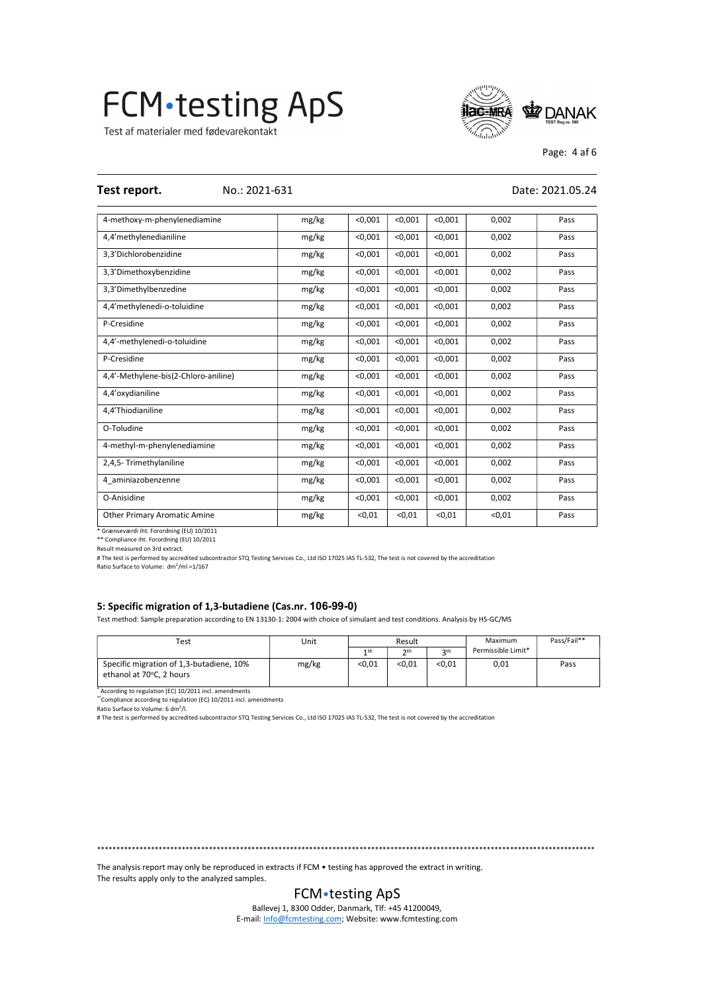Test af materialer med fødevarekontakt

 $\overline{a}$ 



Page: 4 af 6

#### **Test report.** No.: 2021-631 **Date: 2021.05.24** Date: 2021.05.24

| 4-methoxy-m-phenylenediamine                                                                          | mg/kg | < 0.001 | < 0.001 | < 0.001 | 0,002  | Pass |
|-------------------------------------------------------------------------------------------------------|-------|---------|---------|---------|--------|------|
| 4,4'methylenedianiline                                                                                | mg/kg | < 0.001 | < 0.001 | < 0.001 | 0,002  | Pass |
| 3,3'Dichlorobenzidine                                                                                 | mg/kg | < 0.001 | < 0.001 | < 0.001 | 0,002  | Pass |
| 3,3'Dimethoxybenzidine                                                                                | mg/kg | < 0.001 | < 0.001 | < 0,001 | 0,002  | Pass |
| 3,3'Dimethylbenzedine                                                                                 | mg/kg | < 0.001 | < 0.001 | < 0.001 | 0,002  | Pass |
| 4,4'methylenedi-o-toluidine                                                                           | mg/kg | < 0.001 | < 0.001 | < 0.001 | 0,002  | Pass |
| P-Cresidine                                                                                           | mg/kg | < 0.001 | < 0.001 | < 0.001 | 0,002  | Pass |
| 4,4'-methylenedi-o-toluidine                                                                          | mg/kg | < 0.001 | < 0.001 | < 0.001 | 0,002  | Pass |
| P-Cresidine                                                                                           | mg/kg | < 0.001 | < 0.001 | < 0.001 | 0,002  | Pass |
| 4,4'-Methylene-bis(2-Chloro-aniline)                                                                  | mg/kg | < 0.001 | < 0.001 | < 0.001 | 0,002  | Pass |
| 4,4'oxydianiline                                                                                      | mg/kg | < 0.001 | < 0.001 | < 0.001 | 0,002  | Pass |
| 4,4'Thiodianiline                                                                                     | mg/kg | < 0.001 | < 0.001 | < 0.001 | 0,002  | Pass |
| O-Toludine                                                                                            | mg/kg | < 0.001 | < 0.001 | < 0.001 | 0,002  | Pass |
| 4-methyl-m-phenylenediamine                                                                           | mg/kg | < 0.001 | < 0.001 | < 0.001 | 0,002  | Pass |
| 2,4,5- Trimethylaniline                                                                               | mg/kg | < 0.001 | < 0.001 | < 0.001 | 0,002  | Pass |
| 4 aminiazobenzenne                                                                                    | mg/kg | < 0.001 | < 0.001 | < 0.001 | 0,002  | Pass |
| O-Anisidine                                                                                           | mg/kg | < 0.001 | < 0.001 | < 0.001 | 0,002  | Pass |
| <b>Other Primary Aromatic Amine</b>                                                                   | mg/kg | < 0.01  | < 0.01  | < 0.01  | < 0.01 | Pass |
| $\mathcal{L}$ and $\mathcal{L}$ and $\mathcal{L}$ and $\mathcal{L}$ are the substant of $\mathcal{L}$ |       |         |         |         |        |      |

Grænseværdi iht. Forordning (EU) 10/2011

\*\* Compliance iht. Forordning (EU) 10/2011 Result measured on 3rd extract.

# The test is performed by accredited subcontractor STQ Testing Services Co., Ltd ISO 17025 IAS TL-532, The test is not covered by the accreditation

Ratio Surface to Volume: dm<sup>2</sup>/ml =1/167

#### 5: Specific migration of 1,3-butadiene (Cas.nr. 106-99-0)

Test method: Sample preparation according to EN 13130-1: 2004 with choice of simulant and test conditions. Analysis by HS-GC/MS

| Test                                                                 | Unit  | Result          |             |                 | Maximum            | Pass/Fail** |
|----------------------------------------------------------------------|-------|-----------------|-------------|-----------------|--------------------|-------------|
|                                                                      |       | 1 <sub>th</sub> | <b>つ</b> th | 2 <sup>th</sup> | Permissible Limit* |             |
| Specific migration of 1,3-butadiene, 10%<br>ethanol at 70°C. 2 hours | mg/kg | < 0.01          | < 0.01      | < 0.01          | 0,01               | Pass        |

\* According to regulation (EC) 10/2011 incl. amendments

 $*$ Compliance according to regulation (EC) 10/2011 incl. amendments<br>Ratio Surface to Volume: 6 dm<sup>2</sup>/l.

# The test is performed by accredited subcontractor STQ Testing Services Co., Ltd ISO 17025 IAS TL-532, The test is not covered by the accreditation

\*\*\*\*\*\*\*\*\*\*\*\*\*\*\*\*\*\*\*\*\*\*\*\*\*\*\*\*\*\*\*\*\*\*\*\*\*\*\*\*\*\*\*\*\*\*\*\*\*\*\*\*\*\*\*\*\*\*\*\*\*\*\*\*\*\*\*\*\*\*\*\*\*\*\*\*\*\*\*\*\*\*\*\*\*\*\*\*\*\*\*\*\*\*\*\*\*\*\*\*\*\*\*\*\*\*\*\*\*\*\*\*\*\*\*\*\*\*\*\*\*\*\*\*\*\*\*\*\*

The analysis report may only be reproduced in extracts if FCM • testing has approved the extract in writing. The results apply only to the analyzed samples.

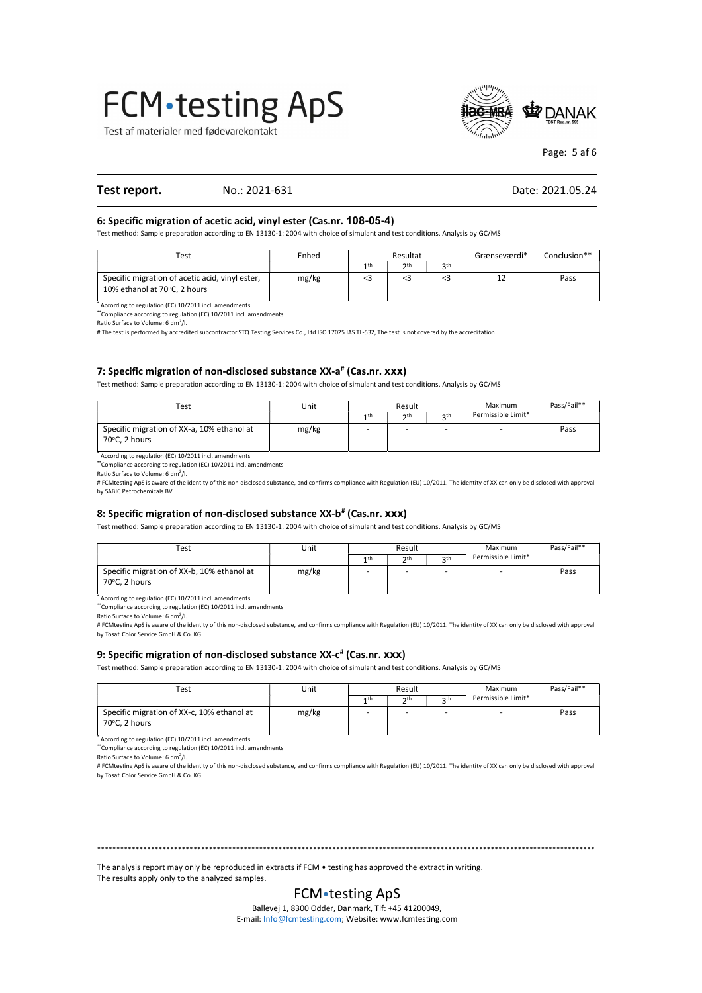Test af materialer med fødevarekontakt



Page: 5 af 6

#### Test report. No.: 2021-631

#### Date: 2021.05.24

#### 6: Specific migration of acetic acid, vinyl ester (Cas.nr. 108-05-4)

Test method: Sample preparation according to EN 13130-1: 2004 with choice of simulant and test conditions. Analysis by GC/MS

| Test                                                                            | Enhed | Resultat |            |     | Grænseværdi* | Conclusion** |
|---------------------------------------------------------------------------------|-------|----------|------------|-----|--------------|--------------|
|                                                                                 |       | 1 th     | $\n  7$ th | 2th |              |              |
| Specific migration of acetic acid, vinyl ester,<br>10% ethanol at 70°C, 2 hours | mg/kg |          |            |     | ∸            | Pass         |

\* According to regulation (EC) 10/2011 incl. amendments \*\*Compliance according to regulation (EC) 10/2011 incl. amendments

Ratio Surface to Volume: 6 dm<sup>2</sup>/L

# The test is performed by accredited subcontractor STQ Testing Services Co., Ltd ISO 17025 IAS TL-532, The test is not covered by the accreditation

#### 7: Specific migration of non-disclosed substance XX-a<sup>#</sup> (Cas.nr. XXX)

Test method: Sample preparation according to EN 13130-1: 2004 with choice of simulant and test conditions. Analysis by GC/MS

| Test                                                        | Unit  | Result          |             |                 | Maximum            | Pass/Fail** |
|-------------------------------------------------------------|-------|-----------------|-------------|-----------------|--------------------|-------------|
|                                                             |       | 1 <sup>th</sup> | <b>つ</b> th | 2 <sub>th</sub> | Permissible Limit* |             |
| Specific migration of XX-a, 10% ethanol at<br>70°C. 2 hours | mg/kg |                 |             |                 | -                  | Pass        |
|                                                             |       |                 |             |                 |                    |             |

\* According to regulation (EC) 10/2011 incl. amendments \*\*Compliance according to regulation (EC) 10/2011 incl. amendments

Ratio Surface to Volume: 6 dm<sup>2</sup>/l.

# FCMtesting ApS is aware of the identity of this non-disclosed substance, and confirms compliance with Regulation (EU) 10/2011. The identity of XX can only be disclosed with approval by SABIC Petrochemicals BV

#### 8: Specific migration of non-disclosed substance XX-b<sup>#</sup> (Cas.nr. XXX)

Test method: Sample preparation according to EN 13130-1: 2004 with choice of simulant and test conditions. Analysis by GC/MS

| Test                                                        | Unit  | Result          |             |                 | Maximum            | Pass/Fail** |
|-------------------------------------------------------------|-------|-----------------|-------------|-----------------|--------------------|-------------|
|                                                             |       | 1 <sup>th</sup> | <b>つ</b> th | 2 <sub>th</sub> | Permissible Limit* |             |
| Specific migration of XX-b, 10% ethanol at<br>70°C. 2 hours | mg/kg | -               |             | -               |                    | Pass        |

\* According to regulation (EC) 10/2011 incl. amendments Compliance according to regulation (EC) 10/2011 incl. amendments

Ratio Surface to Volume: 6 dm<sup>2</sup>/l.

# FCMtesting ApS is aware of the identity of this non-disclosed substance, and confirms compliance with Regulation (EU) 10/2011. The identity of XX can only be disclosed with approval by Tosaf Color Service GmbH & Co. KG

#### 9: Specific migration of non-disclosed substance XX-c<sup>#</sup> (Cas.nr. XXX)

Test method: Sample preparation according to EN 13130-1: 2004 with choice of simulant and test conditions. Analysis by GC/MS

| Test                                                        | Unit  | Result          |     |                 |                    | Maximum | Pass/Fail** |
|-------------------------------------------------------------|-------|-----------------|-----|-----------------|--------------------|---------|-------------|
|                                                             |       | 1 <sup>th</sup> | 2th | 2 <sub>th</sub> | Permissible Limit* |         |             |
| Specific migration of XX-c, 10% ethanol at<br>70°C. 2 hours | mg/kg |                 |     |                 |                    | Pass    |             |

According to regulation (EC) 10/2011 incl. amendments \*Compliance according to regulation (EC) 10/2011 incl. amendments

Ratio Surface to Volume: 6 dm<sup>2</sup>/l.

# FCMtesting ApS is aware of the identity of this non-disclosed substance, and confirms compliance with Regulation (EU) 10/2011. The identity of XX can only be disclosed with approval by Tosaf Color Service GmbH & Co. KG

The analysis report may only be reproduced in extracts if FCM • testing has approved the extract in writing. The results apply only to the analyzed samples.

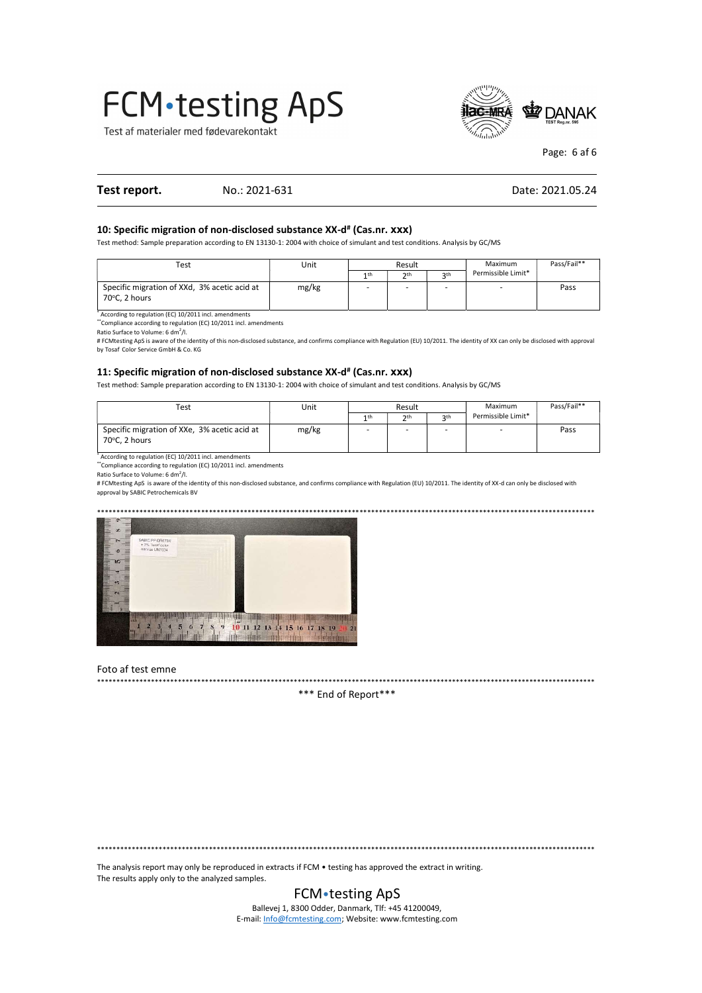Test af materialer med fødevarekontakt



Page: 6 af 6

#### **Test report.** No.: 2021-631 **Date: 2021.05.24** Date: 2021.05.24

#### 10: Specific migration of non-disclosed substance XX-d<sup>#</sup> (Cas.nr. XXX)

Test method: Sample preparation according to EN 13130-1: 2004 with choice of simulant and test conditions. Analysis by GC/MS

| Test                                         | Unit  | Result          |                          | Maximum    | Pass/Fail**        |      |
|----------------------------------------------|-------|-----------------|--------------------------|------------|--------------------|------|
|                                              |       | 1 <sup>th</sup> | 2th                      | <b>oth</b> | Permissible Limit* |      |
| Specific migration of XXd, 3% acetic acid at | mg/kg | -               | $\overline{\phantom{a}}$ |            |                    | Pass |
| 70°C. 2 hours                                |       |                 |                          |            |                    |      |

\* According to regulation (EC) 10/2011 incl. amendments

\*\*Compliance according to regulation (EC) 10/2011 incl. amendments

Ratio Surface to Volume: 6 dm<sup>2</sup>/l.

 $\overline{a}$ 

# FCMtesting ApS is aware of the identity of this non-disclosed substance, and confirms compliance with Regulation (EU) 10/2011. The identity of XX can only be disclosed with approval by Tosaf Color Service GmbH & Co. KG

#### 11: Specific migration of non-disclosed substance XX-d<sup>#</sup> (Cas.nr. XXX)

Test method: Sample preparation according to EN 13130-1: 2004 with choice of simulant and test conditions. Analysis by GC/MS

| Unit  | Result          |                          |                 | Maximum | Pass/Fail**        |
|-------|-----------------|--------------------------|-----------------|---------|--------------------|
|       | 1 <sup>th</sup> | 2th                      | 2 <sub>th</sub> |         |                    |
| mg/kg |                 | $\overline{\phantom{a}}$ |                 | -       | Pass               |
|       |                 |                          |                 |         | Permissible Limit* |

\* According to regulation (EC) 10/2011 incl. amendments

\*\*Compliance according to regulation (EC) 10/2011 incl. amendments<br>Ratio Surface to Volume: 6 dm<sup>2</sup>/l.

# FCMtesting ApS is aware of the identity of this non-disclosed substance, and confirms compliance with Regulation (EU) 10/2011. The identity of XX-d can only be disclosed with approval by SABIC Petrochemicals BV



### Foto af test emne

\*\*\*\*\*\*\*\*\*\*\*\*\*\*\*\*\*\*\*\*\*\*\*\*\*\*\*\*\*\*\*\*\*\*\*\*\*\*\*\*\*\*\*\*\*\*\*\*\*\*\*\*\*\*\*\*\*\*\*\*\*\*\*\*\*\*\*\*\*\*\*\*\*\*\*\*\*\*\*\*\*\*\*\*\*\*\*\*\*\*\*\*\*\*\*\*\*\*\*\*\*\*\*\*\*\*\*\*\*\*\*\*\*\*\*\*\*\*\*\*\*\*\*\*\*\*\*\*\*

\*\*\* End of Report\*\*\*

\*\*\*\*\*\*\*\*\*\*\*\*\*\*\*\*\*\*\*\*\*\*\*\*\*\*\*\*\*\*\*\*\*\*\*\*\*\*\*\*\*\*\*\*\*\*\*\*\*\*\*\*\*\*\*\*\*\*\*\*\*\*\*\*\*\*\*\*\*\*\*\*\*\*\*\*\*\*\*\*\*\*\*\*\*\*\*\*\*\*\*\*\*\*\*\*\*\*\*\*\*\*\*\*\*\*\*\*\*\*\*\*\*\*\*\*\*\*\*\*\*\*\*\*\*\*\*\*\*

The analysis report may only be reproduced in extracts if FCM • testing has approved the extract in writing. The results apply only to the analyzed samples.

### FCM•testing ApS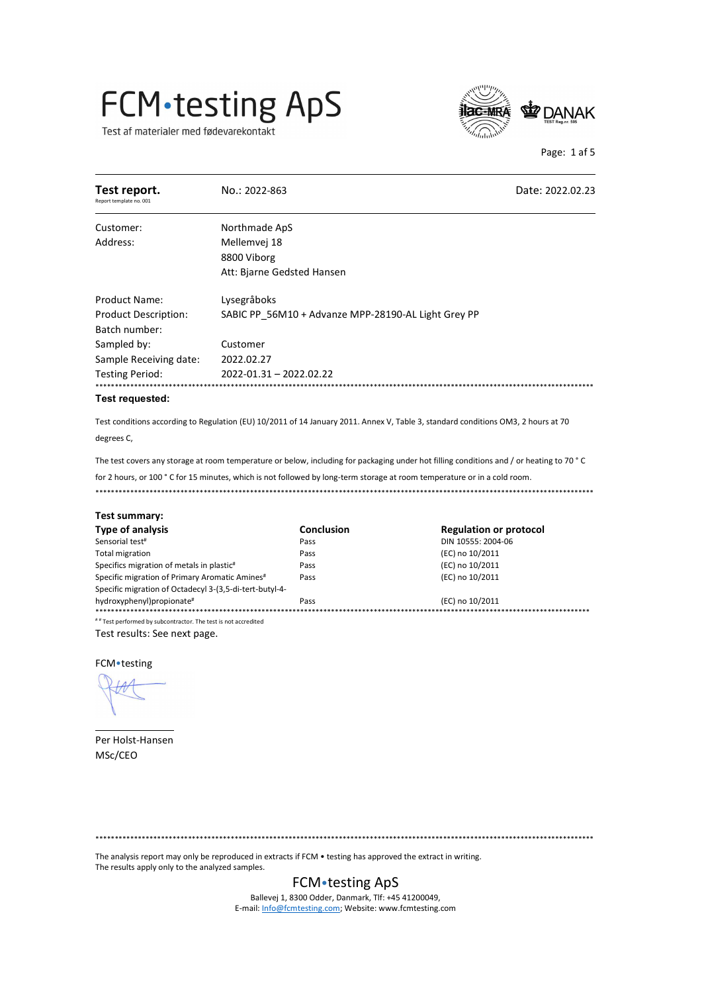Test af materialer med fødevarekontakt



Page: 1 af 5

| Test report.<br>Report template no. 001 | No.: 2022-863                                       | Date: 2022.02.23 |
|-----------------------------------------|-----------------------------------------------------|------------------|
| Customer:                               | Northmade ApS                                       |                  |
| Address:                                | Mellemvej 18                                        |                  |
|                                         | 8800 Viborg                                         |                  |
|                                         | Att: Bjarne Gedsted Hansen                          |                  |
| <b>Product Name:</b>                    | Lysegråboks                                         |                  |
| <b>Product Description:</b>             | SABIC PP 56M10 + Advanze MPP-28190-AL Light Grey PP |                  |
| Batch number:                           |                                                     |                  |
| Sampled by:                             | Customer                                            |                  |
| Sample Receiving date:                  | 2022.02.27                                          |                  |
| Testing Period:                         | 2022-01.31 - 2022.02.22                             |                  |
| Test requested:                         |                                                     |                  |

Test conditions according to Regulation (EU) 10/2011 of 14 January 2011. Annex V, Table 3, standard conditions OM3, 2 hours at 70 degrees C,

The test covers any storage at room temperature or below, including for packaging under hot filling conditions and / or heating to 70 ° C for 2 hours, or 100 ° C for 15 minutes, which is not followed by long-term storage at room temperature or in a cold room. 

| Test summary:                                           |            |                               |
|---------------------------------------------------------|------------|-------------------------------|
| <b>Type of analysis</b>                                 | Conclusion | <b>Regulation or protocol</b> |
| Sensorial test <sup>#</sup>                             | Pass       | DIN 10555: 2004-06            |
| Total migration                                         | Pass       | (EC) no 10/2011               |
| Specifics migration of metals in plastic#               | Pass       | (EC) no 10/2011               |
| Specific migration of Primary Aromatic Amines#          | Pass       | (EC) no 10/2011               |
| Specific migration of Octadecyl 3-(3,5-di-tert-butyl-4- |            |                               |
| hydroxyphenyl)propionate#                               | Pass       | (EC) no 10/2011               |
|                                                         |            |                               |

# # Test performed by subcontractor. The test is not accredited Test results: See next page.

FCM • testing

Per Holst-Hansen MSc/CEO

The analysis report may only be reproduced in extracts if FCM • testing has approved the extract in writing. The results apply only to the analyzed samples.

### FCM • testing ApS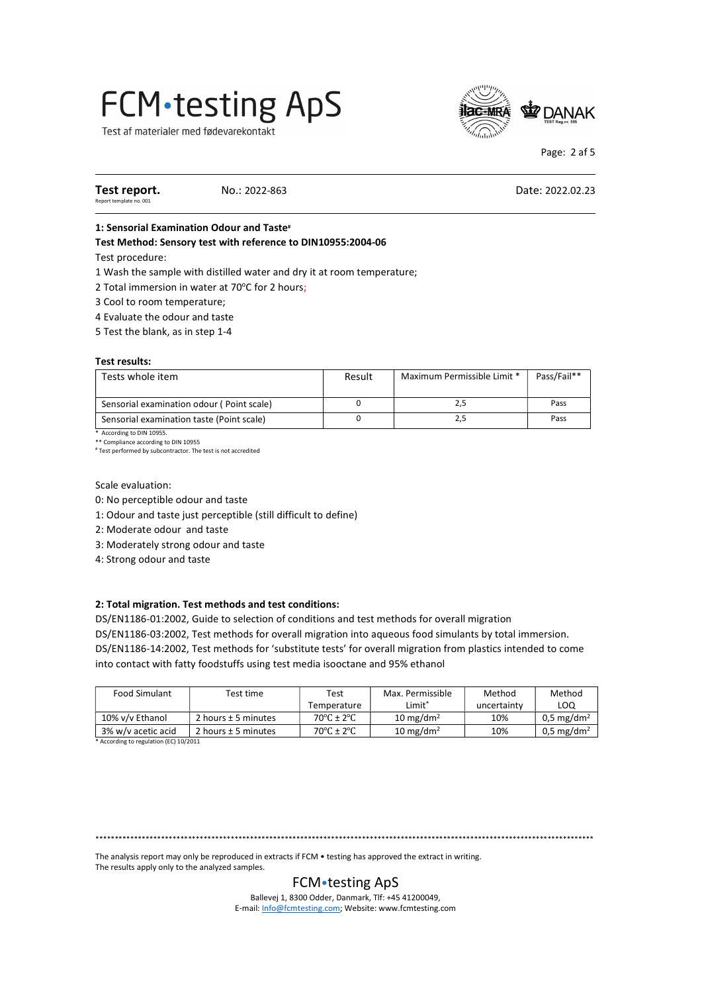Test af materialer med fødevarekontakt



Page: 2 af 5

#### Test report. Report template no. 001

No.: 2022-863

Date: 2022.02.23

#### 1: Sensorial Examination Odour and Taste<sup>#</sup>

#### Test Method: Sensory test with reference to DIN10955:2004-06

Test procedure:

1 Wash the sample with distilled water and dry it at room temperature;

- 2 Total immersion in water at 70°C for 2 hours;
- 3 Cool to room temperature;
- 4 Evaluate the odour and taste

5 Test the blank, as in step 1-4

#### **Test results:**

| Tests whole item                          | Result | Maximum Permissible Limit * | Pass/Fail** |
|-------------------------------------------|--------|-----------------------------|-------------|
| Sensorial examination odour (Point scale) |        |                             | Pass        |
| Sensorial examination taste (Point scale) |        |                             | Pass        |

\* According to DIN 10955. \*\* Compliance according to DIN 10955

# Test performed by subcontractor. The test is not accredited

Scale evaluation:

- 0: No perceptible odour and taste
- 1: Odour and taste just perceptible (still difficult to define)
- 2: Moderate odour and taste
- 3: Moderately strong odour and taste
- 4: Strong odour and taste

#### 2: Total migration. Test methods and test conditions:

DS/EN1186-01:2002, Guide to selection of conditions and test methods for overall migration

DS/EN1186-03:2002, Test methods for overall migration into aqueous food simulants by total immersion.

DS/EN1186-14:2002, Test methods for 'substitute tests' for overall migration from plastics intended to come into contact with fatty foodstuffs using test media isooctane and 95% ethanol

| Food Simulant      | Test time               | Test                            | Max. Permissible      | Method      | Method                |
|--------------------|-------------------------|---------------------------------|-----------------------|-------------|-----------------------|
|                    |                         | Temperature                     | Limit*                | uncertainty | LOQ                   |
| 10% v/v Ethanol    | 2 hours $\pm$ 5 minutes | $70^{\circ}$ C ± 2 $^{\circ}$ C | 10 mg/dm <sup>2</sup> | 10%         | $0.5 \text{ mg/dm}^2$ |
| 3% w/v acetic acid | 2 hours $\pm$ 5 minutes | $70^{\circ}$ C ± 2 $^{\circ}$ C | 10 mg/dm <sup>2</sup> | 10%         | $0.5 \text{ mg/dm}^2$ |

\* According to regulation (EC) 10/2011

The analysis report may only be reproduced in extracts if FCM • testing has approved the extract in writing. The results apply only to the analyzed samples.

#### **FCM**•testing ApS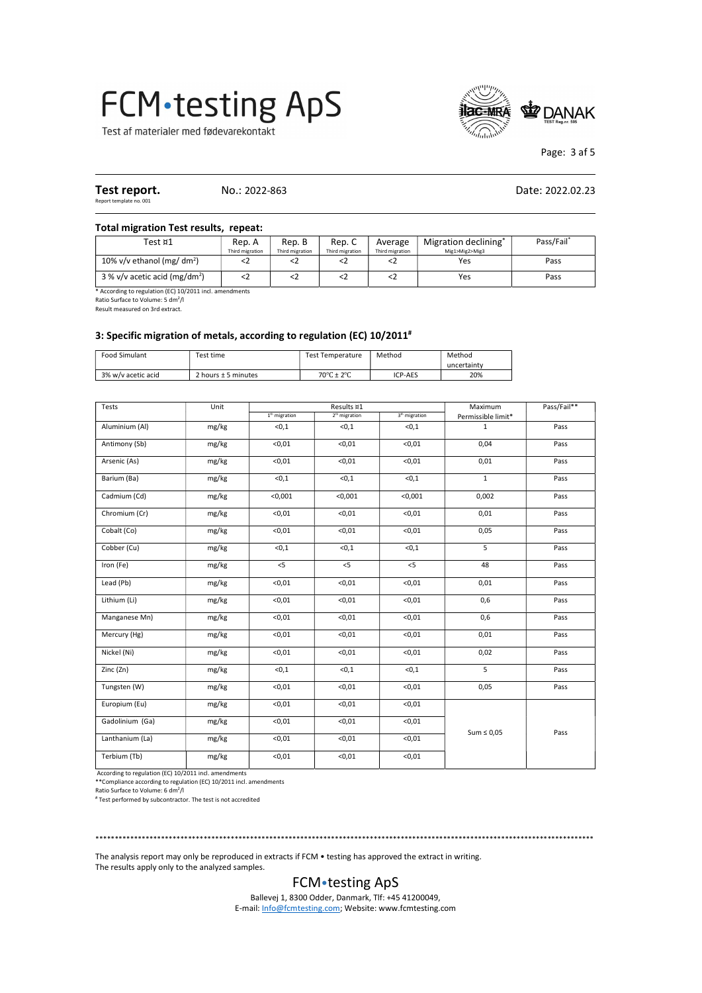Test af materialer med fødevarekontakt



#### Page: 3 af 5

 $\overline{a}$ 

**Test report.**  $\sum_{\text{Report template no. 001}}$  No.: 2022-863

#### $\overline{a}$ Total migration Test results, repeat:

| Test ¤1                                     | Rep. A          | Rep. B          | Rep. C          | Average         | Migration declining* | Pass/Fail* |
|---------------------------------------------|-----------------|-----------------|-----------------|-----------------|----------------------|------------|
|                                             | Third migration | Third migration | Third migration | Third migration | Mig1>Mig2>Mig3       |            |
| 10% $v/v$ ethanol (mg/dm <sup>2</sup> )     |                 | ╰               |                 |                 | Yes                  | Pass       |
| $3\%$ v/v acetic acid (mg/dm <sup>2</sup> ) |                 | SZ.             |                 |                 | Yes                  | Pass       |

\* According to regulation (EC) 10/2011 incl. amendments

Ratio Surface to Volume: 5 dm<sup>2</sup>/l

Result measured on 3rd extract.

#### 3: Specific migration of metals, according to regulation (EC) 10/2011#

| Food Simulant      | $\tau$ est time         | <b>Test Temperature</b>                          | Method         | Method<br>uncertainty |
|--------------------|-------------------------|--------------------------------------------------|----------------|-----------------------|
| 3% w/v acetic acid | 2 hours $\pm$ 5 minutes | 70 $\mathrm{^{\circ}C}$ ± 2 $\mathrm{^{\circ}C}$ | <b>ICP-AES</b> | 20%                   |

| Tests           | Unit  |                           | Results ¤1                |                           |                    | Pass/Fail** |
|-----------------|-------|---------------------------|---------------------------|---------------------------|--------------------|-------------|
|                 |       | 1 <sup>th</sup> migration | 2 <sup>th</sup> migration | 3 <sup>th</sup> migration | Permissible limit* |             |
| Aluminium (Al)  | mg/kg | < 0, 1                    | < 0, 1                    | < 0, 1                    | $\mathbf{1}$       | Pass        |
| Antimony (Sb)   | mg/kg | < 0.01                    | < 0.01                    | < 0.01                    | 0,04               | Pass        |
| Arsenic (As)    | mg/kg | < 0.01                    | < 0.01                    | < 0.01                    | 0,01               | Pass        |
| Barium (Ba)     | mg/kg | < 0, 1                    | < 0, 1                    | < 0, 1                    | $\mathbf{1}$       | Pass        |
| Cadmium (Cd)    | mg/kg | < 0,001                   | < 0.001                   | < 0,001                   | 0,002              | Pass        |
| Chromium (Cr)   | mg/kg | < 0.01                    | < 0.01                    | < 0.01                    | 0,01               | Pass        |
| Cobalt (Co)     | mg/kg | < 0.01                    | < 0.01                    | < 0.01                    | 0,05               | Pass        |
| Cobber (Cu)     | mg/kg | < 0, 1                    | < 0, 1                    | < 0, 1                    | 5                  | Pass        |
| Iron (Fe)       | mg/kg | $<$ 5                     | $<$ 5                     | $<$ 5                     | 48                 | Pass        |
| Lead (Pb)       | mg/kg | < 0, 01                   | < 0, 01                   | < 0, 01                   | 0,01               | Pass        |
| Lithium (Li)    | mg/kg | < 0, 01                   | < 0.01                    | < 0, 01                   | 0,6                | Pass        |
| Manganese Mn)   | mg/kg | < 0, 01                   | < 0, 01                   | < 0, 01                   | 0,6                | Pass        |
| Mercury (Hg)    | mg/kg | < 0.01                    | < 0.01                    | < 0.01                    | 0,01               | Pass        |
| Nickel (Ni)     | mg/kg | $0,01$                    | < 0.01                    | < 0, 01                   | 0,02               | Pass        |
| Zinc (Zn)       | mg/kg | < 0, 1                    | < 0, 1                    | < 0, 1                    | 5                  | Pass        |
| Tungsten (W)    | mg/kg | < 0, 01                   | < 0, 01                   | < 0, 01                   | 0,05               | Pass        |
| Europium (Eu)   | mg/kg | < 0.01                    | < 0.01                    | < 0.01                    |                    |             |
| Gadolinium (Ga) | mg/kg | < 0.01                    | $\sqrt{0.01}$             | < 0.01                    |                    |             |
| Lanthanium (La) | mg/kg | < 0, 01                   | < 0, 01                   | < 0, 01                   | Sum $\leq 0.05$    | Pass        |
| Terbium (Tb)    | mg/kg | < 0.01                    | < 0.01                    | < 0.01                    |                    |             |

According to regulation (EC) 10/2011 incl. amendments \*\*Compliance according to regulation (EC) 10/2011 incl. amendments

Ratio Surface to Volume:  $6 \text{ dm}^2$ /l<br># Test performed by subsentrate Test performed by subcontractor. The test is not accredited

The analysis report may only be reproduced in extracts if FCM • testing has approved the extract in writing. The results apply only to the analyzed samples.

FCM•testing ApS

Ballevej 1, 8300 Odder, Danmark, Tlf: +45 41200049, E-mail: Info@fcmtesting.com; Website: www.fcmtesting.com

\*\*\*\*\*\*\*\*\*\*\*\*\*\*\*\*\*\*\*\*\*\*\*\*\*\*\*\*\*\*\*\*\*\*\*\*\*\*\*\*\*\*\*\*\*\*\*\*\*\*\*\*\*\*\*\*\*\*\*\*\*\*\*\*\*\*\*\*\*\*\*\*\*\*\*\*\*\*\*\*\*\*\*\*\*\*\*\*\*\*\*\*\*\*\*\*\*\*\*\*\*\*\*\*\*\*\*\*\*\*\*\*\*\*\*\*\*\*\*\*\*\*\*\*\*\*\*\*\*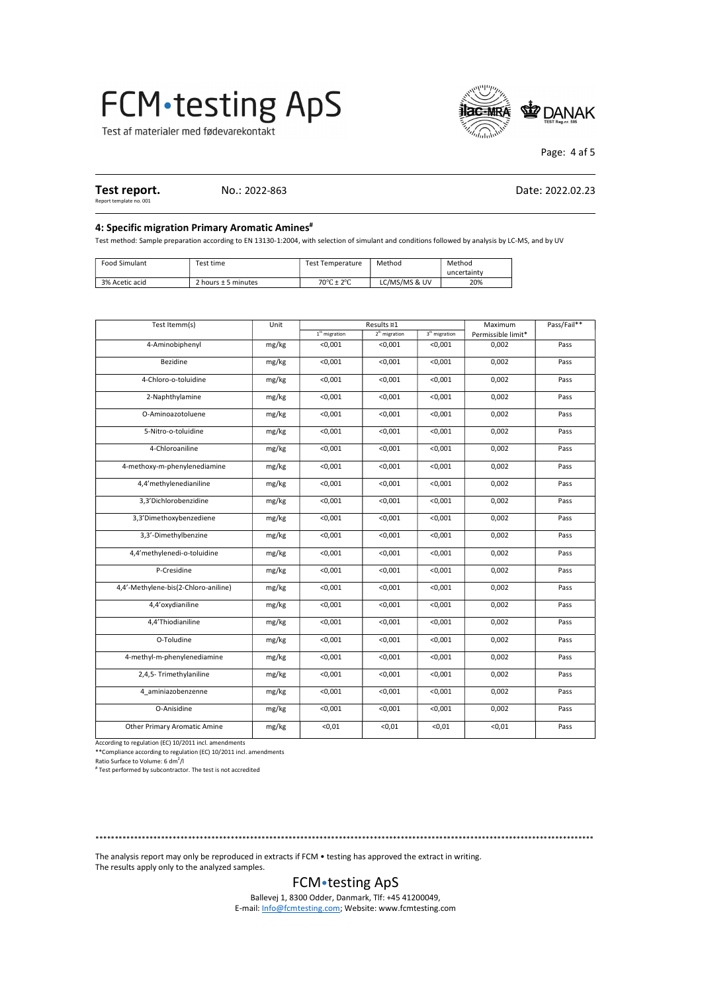Test af materialer med fødevarekontakt

 $\overline{a}$ 

 $\overline{a}$ 



Page: 4 af 5

### **Test report.**  $\sum_{\text{Report template no. 001}}$  No.: 2022-863

#### 4: Specific migration Primary Aromatic Amines<sup>#</sup>

Test method: Sample preparation according to EN 13130-1:2004, with selection of simulant and conditions followed by analysis by LC-MS, and by UV

| Food Simulant  | Test time           | Test Temperature | Method        | Method      |
|----------------|---------------------|------------------|---------------|-------------|
|                |                     |                  |               | uncertainty |
| 3% Acetic acid | 2 hours ± 5 minutes | 70°C ± 2°C       | LC/MS/MS & UV | 20%         |

| Test Itemm(s)                        | Unit  |                           | Results ¤1                |                           |                    | Pass/Fail** |
|--------------------------------------|-------|---------------------------|---------------------------|---------------------------|--------------------|-------------|
|                                      |       | 1 <sup>th</sup> migration | 2 <sup>th</sup> migration | 3 <sup>th</sup> migration | Permissible limit* |             |
| 4-Aminobiphenyl                      | mg/kg | < 0,001                   | < 0,001                   | < 0,001                   | 0,002              | Pass        |
| Bezidine                             | mg/kg | < 0,001                   | < 0,001                   | < 0.001                   | 0,002              | Pass        |
| 4-Chloro-o-toluidine                 | mg/kg | < 0,001                   | < 0,001                   | < 0,001                   | 0,002              | Pass        |
| 2-Naphthylamine                      | mg/kg | < 0,001                   | < 0,001                   | < 0,001                   | 0,002              | Pass        |
| O-Aminoazotoluene                    | mg/kg | < 0,001                   | < 0,001                   | < 0,001                   | 0,002              | Pass        |
| 5-Nitro-o-toluidine                  | mg/kg | < 0,001                   | < 0,001                   | < 0,001                   | 0,002              | Pass        |
| 4-Chloroaniline                      | mg/kg | < 0,001                   | < 0,001                   | < 0,001                   | 0,002              | Pass        |
| 4-methoxy-m-phenylenediamine         | mg/kg | < 0,001                   | < 0,001                   | < 0,001                   | 0,002              | Pass        |
| 4,4'methylenedianiline               | mg/kg | < 0,001                   | < 0,001                   | < 0,001                   | 0,002              | Pass        |
| 3,3'Dichlorobenzidine                | mg/kg | < 0,001                   | < 0,001                   | < 0,001                   | 0,002              | Pass        |
| 3,3'Dimethoxybenzediene              | mg/kg | < 0,001                   | < 0,001                   | < 0,001                   | 0,002              | Pass        |
| 3,3'-Dimethylbenzine                 | mg/kg | < 0,001                   | < 0,001                   | < 0,001                   | 0,002              | Pass        |
| 4,4'methylenedi-o-toluidine          | mg/kg | < 0,001                   | < 0,001                   | < 0,001                   | 0,002              | Pass        |
| P-Cresidine                          | mg/kg | < 0,001                   | < 0,001                   | < 0,001                   | 0,002              | Pass        |
| 4,4'-Methylene-bis(2-Chloro-aniline) | mg/kg | < 0,001                   | < 0,001                   | < 0,001                   | 0,002              | Pass        |
| 4,4'oxydianiline                     | mg/kg | < 0,001                   | < 0,001                   | < 0,001                   | 0,002              | Pass        |
| 4,4'Thiodianiline                    | mg/kg | < 0,001                   | < 0,001                   | < 0,001                   | 0,002              | Pass        |
| O-Toludine                           | mg/kg | < 0,001                   | < 0,001                   | < 0,001                   | 0,002              | Pass        |
| 4-methyl-m-phenylenediamine          | mg/kg | < 0,001                   | < 0,001                   | < 0.001                   | 0,002              | Pass        |
| 2,4,5- Trimethylaniline              | mg/kg | < 0,001                   | < 0,001                   | < 0,001                   | 0,002              | Pass        |
| 4 aminiazobenzenne                   | mg/kg | < 0,001                   | < 0,001                   | < 0,001                   | 0,002              | Pass        |
| O-Anisidine                          | mg/kg | < 0,001                   | < 0,001                   | < 0,001                   | 0,002              | Pass        |
| Other Primary Aromatic Amine         | mg/kg | < 0.01                    | < 0.01                    | < 0.01                    | < 0.01             | Pass        |

According to regulation (EC) 10/2011 incl. amendments

\*\*Compliance according to regulation (EC) 10/2011 incl. amendments

Ratio Surface to Volume:  $6 \text{ dm}^2$ /l<br> $\text{#Test performed by{: beneficiated}$ 

Test performed by subcontractor. The test is not accredited

The analysis report may only be reproduced in extracts if FCM • testing has approved the extract in writing. The results apply only to the analyzed samples.

#### FCM•testing ApS

\*\*\*\*\*\*\*\*\*\*\*\*\*\*\*\*\*\*\*\*\*\*\*\*\*\*\*\*\*\*\*\*\*\*\*\*\*\*\*\*\*\*\*\*\*\*\*\*\*\*\*\*\*\*\*\*\*\*\*\*\*\*\*\*\*\*\*\*\*\*\*\*\*\*\*\*\*\*\*\*\*\*\*\*\*\*\*\*\*\*\*\*\*\*\*\*\*\*\*\*\*\*\*\*\*\*\*\*\*\*\*\*\*\*\*\*\*\*\*\*\*\*\*\*\*\*\*\*\*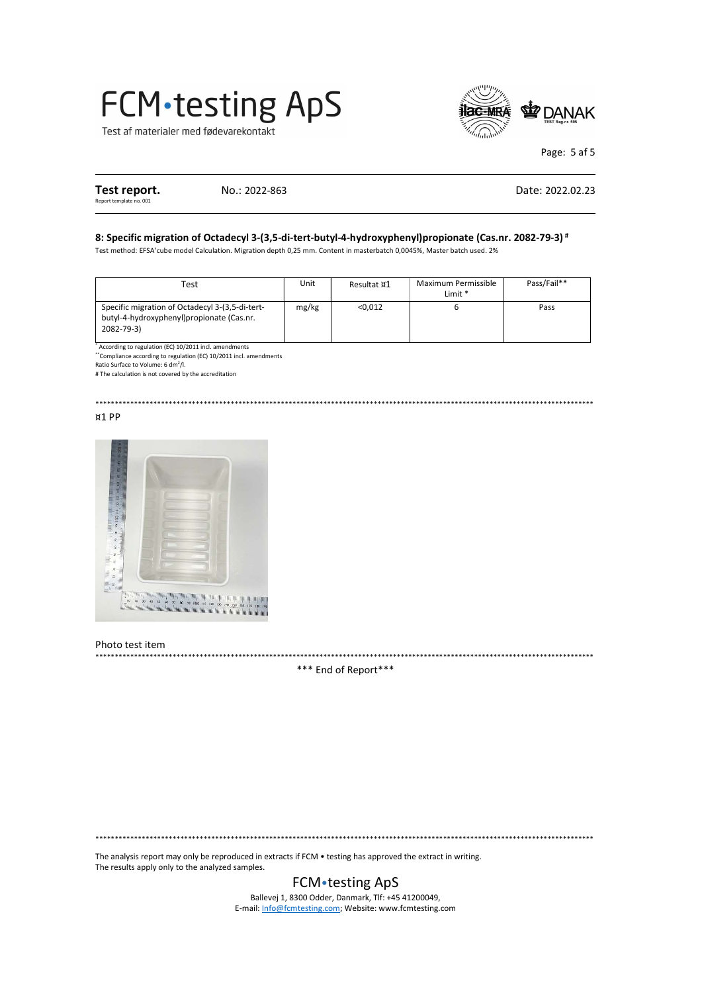Test af materialer med fødevarekontakt



Page: 5 af 5

Test report. Report template no. 001

No.: 2022-863

Date: 2022.02.23

#### 8: Specific migration of Octadecyl 3-(3,5-di-tert-butyl-4-hydroxyphenyl)propionate (Cas.nr. 2082-79-3) #

Test method: EFSA'cube model Calculation. Migration depth 0,25 mm. Content in masterbatch 0,0045%, Master batch used. 2%

| Test                                                                                                       | Unit  | Resultat ¤1 | Maximum Permissible<br>Limit * | Pass/Fail** |
|------------------------------------------------------------------------------------------------------------|-------|-------------|--------------------------------|-------------|
| Specific migration of Octadecyl 3-(3,5-di-tert-<br>butyl-4-hydroxyphenyl)propionate (Cas.nr.<br>2082-79-3) | mg/kg | < 0.012     |                                | Pass        |

\* According to regulation (EC) 10/2011 incl. amendments "Compliance according to regulation (EC) 10/2011 incl. amendments<br>Ratio Surface to Volume: 6 dm<sup>2</sup>/l.

# The calculation is not covered by the accreditation

### 

#### ¤1 PP



Photo test item

\*\*\* End of Report\*\*\*

The analysis report may only be reproduced in extracts if FCM • testing has approved the extract in writing.

The results apply only to the analyzed samples. FCM • testing ApS

> Ballevej 1, 8300 Odder, Danmark, Tlf: +45 41200049, E-mail: Info@fcmtesting.com; Website: www.fcmtesting.com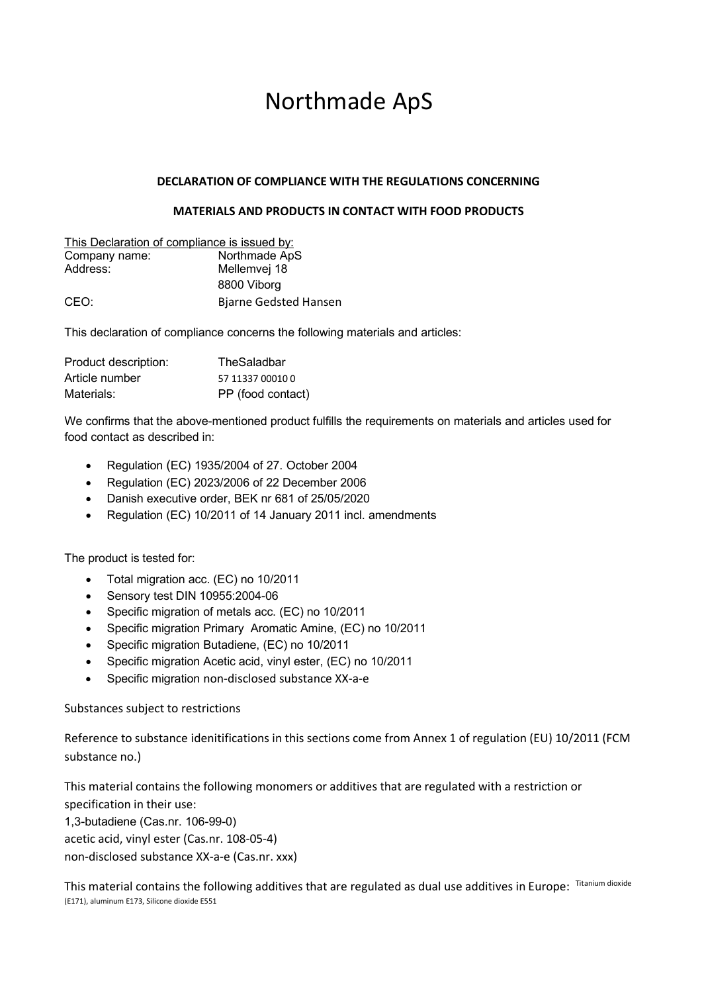### Northmade ApS

#### **DECLARATION OF COMPLIANCE WITH THE REGULATIONS CONCERNING**

#### **MATERIALS AND PRODUCTS IN CONTACT WITH FOOD PRODUCTS**

| This Declaration of compliance is issued by: |                              |  |  |  |
|----------------------------------------------|------------------------------|--|--|--|
| Company name:                                | Northmade ApS                |  |  |  |
| Address:                                     | Mellemvej 18                 |  |  |  |
|                                              | 8800 Viborg                  |  |  |  |
| CEO:                                         | <b>Bjarne Gedsted Hansen</b> |  |  |  |

This declaration of compliance concerns the following materials and articles:

| Product description: | TheSaladbar       |  |  |
|----------------------|-------------------|--|--|
| Article number       | 57 11337 00010 0  |  |  |
| Materials:           | PP (food contact) |  |  |

We confirms that the above-mentioned product fulfills the requirements on materials and articles used for food contact as described in:

- Regulation (EC) 1935/2004 of 27. October 2004
- Regulation (EC) 2023/2006 of 22 December 2006
- Danish executive order, BEK nr 681 of 25/05/2020
- Regulation (EC) 10/2011 of 14 January 2011 incl. amendments

The product is tested for:

- Total migration acc. (EC) no 10/2011
- Sensory test DIN 10955:2004-06
- Specific migration of metals acc. (EC) no 10/2011
- Specific migration Primary Aromatic Amine, (EC) no 10/2011
- Specific migration Butadiene, (EC) no 10/2011
- Specific migration Acetic acid, vinyl ester, (EC) no 10/2011
- Specific migration non-disclosed substance XX-a-e

Substances subject to restrictions

Reference to substance idenitifications in this sections come from Annex 1 of regulation (EU) 10/2011 (FCM substance no.)

This material contains the following monomers or additives that are regulated with a restriction or specification in their use:

1,3-butadiene (Cas.nr. 106-99-0)

acetic acid, vinyl ester (Cas.nr. 108-05-4)

non-disclosed substance XX-a-e (Cas.nr. xxx)

This material contains the following additives that are regulated as dual use additives in Europe: Titanium dioxide (E171), aluminum E173, Silicone dioxide E551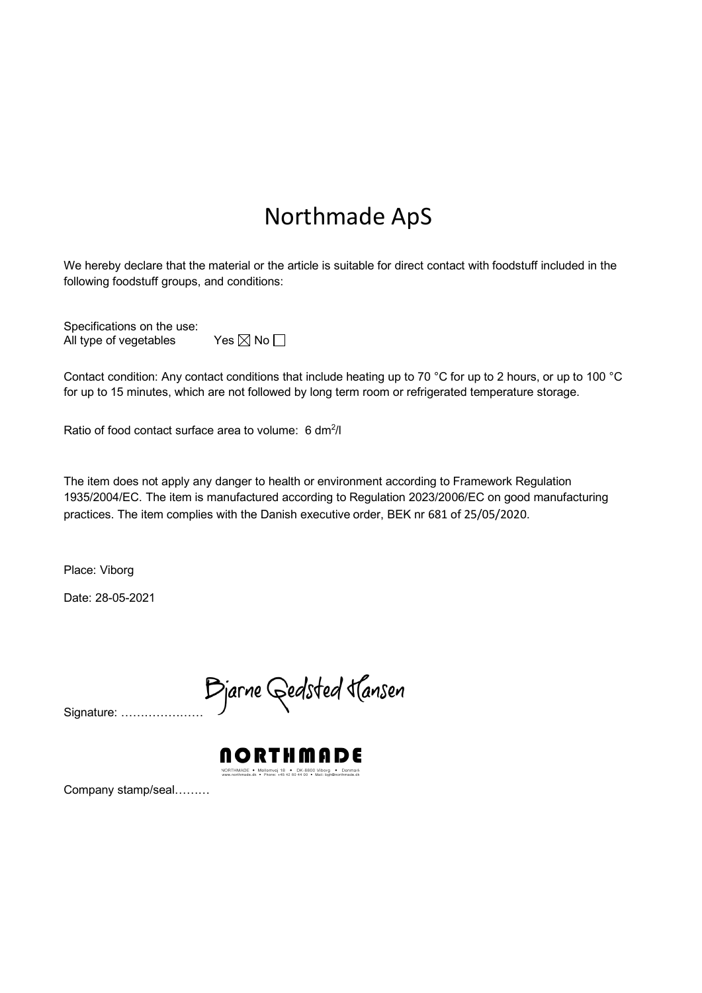### Northmade ApS

We hereby declare that the material or the article is suitable for direct contact with foodstuff included in the following foodstuff groups, and conditions:

Specifications on the use: All type of vegetables Yes  $\boxtimes$  No  $\Box$ 

Contact condition: Any contact conditions that include heating up to 70 °C for up to 2 hours, or up to 100 °C for up to 15 minutes, which are not followed by long term room or refrigerated temperature storage.

Ratio of food contact surface area to volume: 6 dm<sup>2</sup>/l

The item does not apply any danger to health or environment according to Framework Regulation 1935/2004/EC. The item is manufactured according to Regulation 2023/2006/EC on good manufacturing practices. The item complies with the Danish executive order, BEK nr 681 of 25/05/2020.

Place: Viborg

Date: 28-05-2021

Signature: …………………



Company stamp/seal………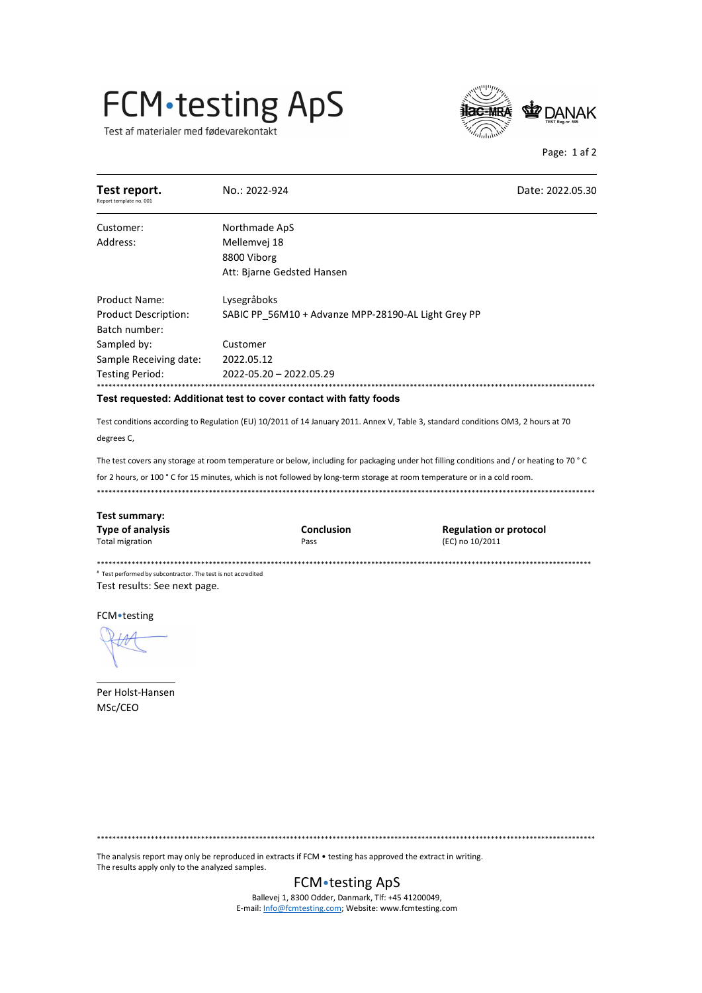Test af materialer med fødevarekontakt



Page: 1 af 2

| Test report.<br>Report template no. 001                                                       | No.: 2022-924                                                                                                             | Date: 2022.05.30                                                                                                                         |
|-----------------------------------------------------------------------------------------------|---------------------------------------------------------------------------------------------------------------------------|------------------------------------------------------------------------------------------------------------------------------------------|
| Customer:                                                                                     | Northmade ApS                                                                                                             |                                                                                                                                          |
| Address:                                                                                      | Mellemvej 18                                                                                                              |                                                                                                                                          |
|                                                                                               | 8800 Viborg                                                                                                               |                                                                                                                                          |
|                                                                                               | Att: Bjarne Gedsted Hansen                                                                                                |                                                                                                                                          |
| Product Name:                                                                                 | Lysegråboks                                                                                                               |                                                                                                                                          |
| <b>Product Description:</b><br>Batch number:                                                  | SABIC PP 56M10 + Advanze MPP-28190-AL Light Grey PP                                                                       |                                                                                                                                          |
| Sampled by:                                                                                   | Customer                                                                                                                  |                                                                                                                                          |
| Sample Receiving date:                                                                        | 2022.05.12                                                                                                                |                                                                                                                                          |
| <b>Testing Period:</b>                                                                        | 2022-05.20 - 2022.05.29<br>***************************                                                                    |                                                                                                                                          |
|                                                                                               | Test requested: Additionat test to cover contact with fatty foods                                                         |                                                                                                                                          |
|                                                                                               |                                                                                                                           | Test conditions according to Regulation (EU) 10/2011 of 14 January 2011. Annex V, Table 3, standard conditions OM3, 2 hours at 70        |
| degrees C,                                                                                    |                                                                                                                           |                                                                                                                                          |
|                                                                                               |                                                                                                                           | The test covers any storage at room temperature or below, including for packaging under hot filling conditions and / or heating to 70 °C |
|                                                                                               | for 2 hours, or 100 ° C for 15 minutes, which is not followed by long-term storage at room temperature or in a cold room. |                                                                                                                                          |
|                                                                                               |                                                                                                                           |                                                                                                                                          |
| Test summary:                                                                                 |                                                                                                                           |                                                                                                                                          |
| <b>Type of analysis</b><br><b>Total migration</b>                                             | Conclusion<br>Pass                                                                                                        | <b>Regulation or protocol</b><br>(EC) no 10/2011                                                                                         |
|                                                                                               | *****************                                                                                                         | **************                                                                                                                           |
| " Test performed by subcontractor. The test is not accredited<br>Test results: See next page. |                                                                                                                           |                                                                                                                                          |
| <b>FCM</b> •testing                                                                           |                                                                                                                           |                                                                                                                                          |
|                                                                                               |                                                                                                                           |                                                                                                                                          |
| Per Holst-Hansen                                                                              |                                                                                                                           |                                                                                                                                          |
| MSc/CEO                                                                                       |                                                                                                                           |                                                                                                                                          |
|                                                                                               |                                                                                                                           |                                                                                                                                          |
|                                                                                               |                                                                                                                           |                                                                                                                                          |
|                                                                                               |                                                                                                                           |                                                                                                                                          |

The analysis report may only be reproduced in extracts if FCM • testing has approved the extract in writing. The results apply only to the analyzed samples.

#### FCM • testing ApS Ballevej 1, 8300 Odder, Danmark, Tlf: +45 41200049,

E-mail: Info@fcmtesting.com; Website: www.fcmtesting.com